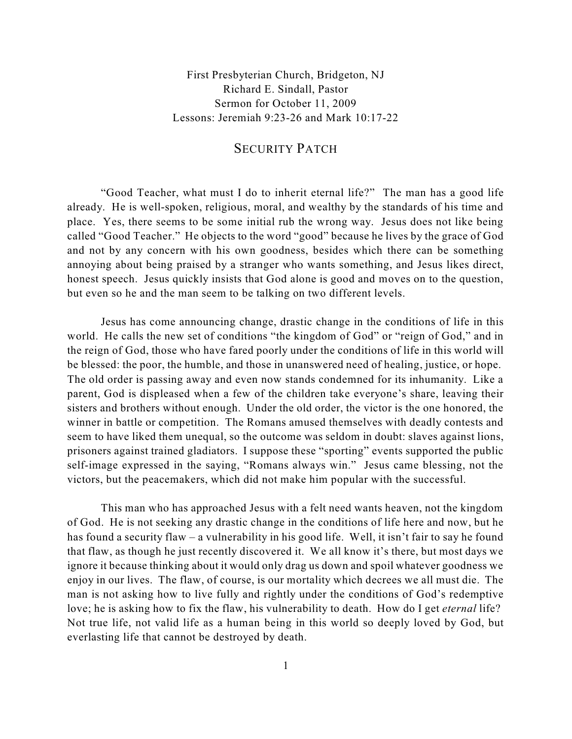First Presbyterian Church, Bridgeton, NJ Richard E. Sindall, Pastor Sermon for October 11, 2009 Lessons: Jeremiah 9:23-26 and Mark 10:17-22

## SECURITY PATCH

"Good Teacher, what must I do to inherit eternal life?" The man has a good life already. He is well-spoken, religious, moral, and wealthy by the standards of his time and place. Yes, there seems to be some initial rub the wrong way. Jesus does not like being called "Good Teacher." He objects to the word "good" because he lives by the grace of God and not by any concern with his own goodness, besides which there can be something annoying about being praised by a stranger who wants something, and Jesus likes direct, honest speech. Jesus quickly insists that God alone is good and moves on to the question, but even so he and the man seem to be talking on two different levels.

Jesus has come announcing change, drastic change in the conditions of life in this world. He calls the new set of conditions "the kingdom of God" or "reign of God," and in the reign of God, those who have fared poorly under the conditions of life in this world will be blessed: the poor, the humble, and those in unanswered need of healing, justice, or hope. The old order is passing away and even now stands condemned for its inhumanity. Like a parent, God is displeased when a few of the children take everyone's share, leaving their sisters and brothers without enough. Under the old order, the victor is the one honored, the winner in battle or competition. The Romans amused themselves with deadly contests and seem to have liked them unequal, so the outcome was seldom in doubt: slaves against lions, prisoners against trained gladiators. I suppose these "sporting" events supported the public self-image expressed in the saying, "Romans always win." Jesus came blessing, not the victors, but the peacemakers, which did not make him popular with the successful.

This man who has approached Jesus with a felt need wants heaven, not the kingdom of God. He is not seeking any drastic change in the conditions of life here and now, but he has found a security flaw – a vulnerability in his good life. Well, it isn't fair to say he found that flaw, as though he just recently discovered it. We all know it's there, but most days we ignore it because thinking about it would only drag us down and spoil whatever goodness we enjoy in our lives. The flaw, of course, is our mortality which decrees we all must die. The man is not asking how to live fully and rightly under the conditions of God's redemptive love; he is asking how to fix the flaw, his vulnerability to death. How do I get *eternal* life? Not true life, not valid life as a human being in this world so deeply loved by God, but everlasting life that cannot be destroyed by death.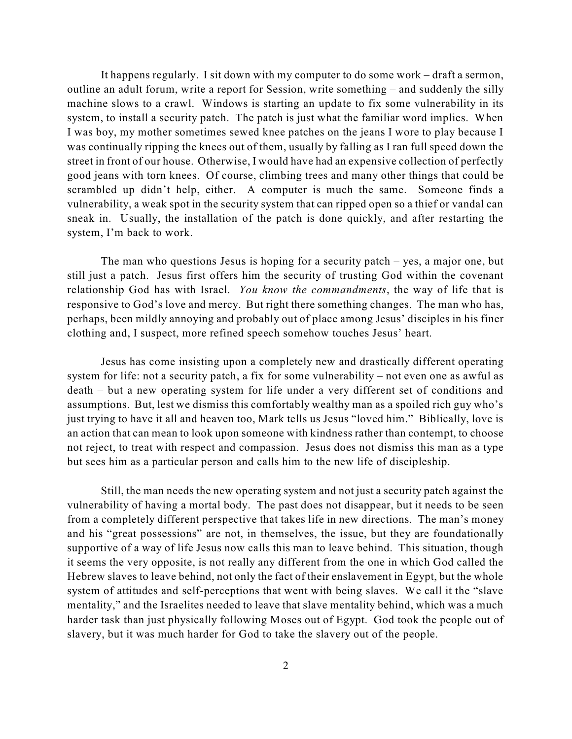It happens regularly. I sit down with my computer to do some work – draft a sermon, outline an adult forum, write a report for Session, write something – and suddenly the silly machine slows to a crawl. Windows is starting an update to fix some vulnerability in its system, to install a security patch. The patch is just what the familiar word implies. When I was boy, my mother sometimes sewed knee patches on the jeans I wore to play because I was continually ripping the knees out of them, usually by falling as I ran full speed down the street in front of our house. Otherwise, I would have had an expensive collection of perfectly good jeans with torn knees. Of course, climbing trees and many other things that could be scrambled up didn't help, either. A computer is much the same. Someone finds a vulnerability, a weak spot in the security system that can ripped open so a thief or vandal can sneak in. Usually, the installation of the patch is done quickly, and after restarting the system, I'm back to work.

The man who questions Jesus is hoping for a security patch – yes, a major one, but still just a patch. Jesus first offers him the security of trusting God within the covenant relationship God has with Israel. *You know the commandments*, the way of life that is responsive to God's love and mercy. But right there something changes. The man who has, perhaps, been mildly annoying and probably out of place among Jesus' disciples in his finer clothing and, I suspect, more refined speech somehow touches Jesus' heart.

Jesus has come insisting upon a completely new and drastically different operating system for life: not a security patch, a fix for some vulnerability – not even one as awful as death – but a new operating system for life under a very different set of conditions and assumptions. But, lest we dismiss this comfortably wealthy man as a spoiled rich guy who's just trying to have it all and heaven too, Mark tells us Jesus "loved him." Biblically, love is an action that can mean to look upon someone with kindness rather than contempt, to choose not reject, to treat with respect and compassion. Jesus does not dismiss this man as a type but sees him as a particular person and calls him to the new life of discipleship.

Still, the man needs the new operating system and not just a security patch against the vulnerability of having a mortal body. The past does not disappear, but it needs to be seen from a completely different perspective that takes life in new directions. The man's money and his "great possessions" are not, in themselves, the issue, but they are foundationally supportive of a way of life Jesus now calls this man to leave behind. This situation, though it seems the very opposite, is not really any different from the one in which God called the Hebrew slaves to leave behind, not only the fact of their enslavement in Egypt, but the whole system of attitudes and self-perceptions that went with being slaves. We call it the "slave mentality," and the Israelites needed to leave that slave mentality behind, which was a much harder task than just physically following Moses out of Egypt. God took the people out of slavery, but it was much harder for God to take the slavery out of the people.